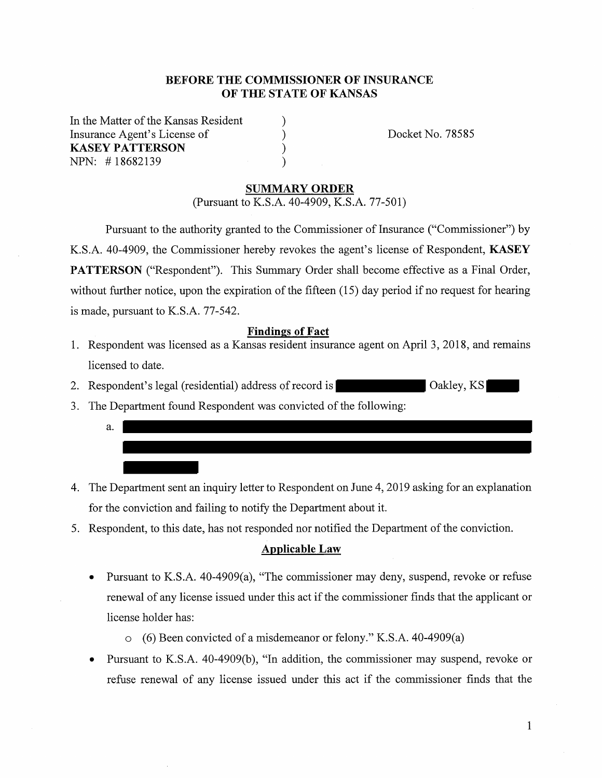## **BEFORE THE COMMISSIONER OF INSURANCE OF THE STATE OF KANSAS**

) )  $\overline{\mathcal{E}}$ )

In the Matter of the Kansas Resident Insurance Agent's License of **KASEY PATTERSON**  NPN: # 18682139

Docket No. 78585

#### **SUMMARY ORDER**

(Pursuant to K.S.A. 40-4909, K.S.A. 77-501)

Pursuant to the authority granted to the Commissioner of Insurance ("Commissioner") by K.S.A. 40-4909, the Commissioner hereby revokes the agent's license of Respondent, **KASEY PATTERSON** ("Respondent"). This Summary Order shall become effective as a Final Order, without further notice, upon the expiration of the fifteen (15) day period if no request for hearing is made, pursuant to K.S.A. 77-542.

## **Findings of Fact**

- 1. Respondent was licensed as a Kansas resident insurance agent on April 3, 2018, and remains licensed to date.
- 2. Respondent's legal (residential) address of record is **Calculated Cookey, KS**
- 3. The Department found Respondent was convicted of the following:
	- a.
- 4. The Department sent an inquiry letter to Respondent on June 4, 2019 asking for an explanation for the conviction and failing to notify the Department about it.
- 5. Respondent, to this date, has not responded nor notified the Department of the conviction.

#### **Applicable Law**

- Pursuant to K.S.A. 40-4909(a), "The commissioner may deny, suspend, revoke or refuse renewal of any license issued under this act if the commissioner finds that the applicant or license holder has:
	- o (6) Been convicted of a misdemeanor or felony." K.S.A. 40-4909(a)
- Pursuant to K.S.A. 40-4909(b), "In addition, the commissioner may suspend, revoke or refuse renewal of any license issued under this act if the commissioner finds that the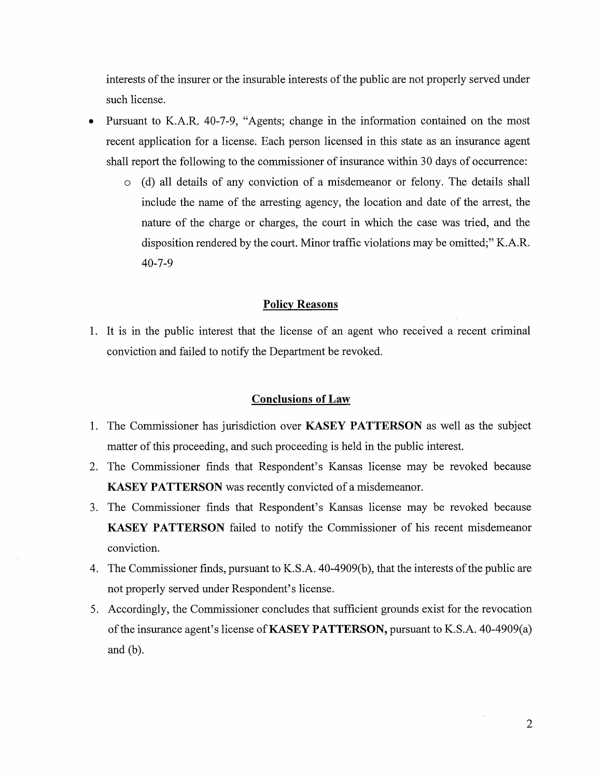interests of the insurer or the insurable interests of the public are not properly served under such license.

- Pursuant to K.A.R. 40-7-9, "Agents; change in the information contained on the most recent application for a license. Each person licensed in this state as an insurance agent shall report the following to the commissioner of insurance within 30 days of occurrence:
	- o (d) all details of any conviction of a misdemeanor or felony. The details shall include the name of the arresting agency, the location and date of the arrest, the nature of the charge or charges, the court in which the case was tried, and the disposition rendered by the court. Minor traffic violations may be omitted;" K.A.R. 40-7-9

### **Policy Reasons**

1. It is in the public interest that the license of an agent who received a recent criminal conviction and failed to notify the Department be revoked.

#### **Conclusions of Law**

- 1. The Commissioner has jurisdiction over **KASEY PATTERSON** as well as the subject matter of this proceeding, and such proceeding is held in the public interest.
- 2. The Commissioner finds that Respondent's Kansas license may be revoked because **KASEY PATTERSON** was recently convicted of a misdemeanor.
- 3. The Commissioner finds that Respondent's Kansas license may be revoked because **KASEY PATTERSON** failed to notify the Commissioner of his recent misdemeanor conviction.
- 4. The Commissioner finds, pursuant to K.S.A. 40-4909(b ), that the interests of the public are not properly served under Respondent's license.
- 5. Accordingly, the Commissioner concludes that sufficient grounds exist for the revocation of the insurance agent's license of **KASEY PATTERSON,** pursuant to K.S.A. 40-4909(a) and (b).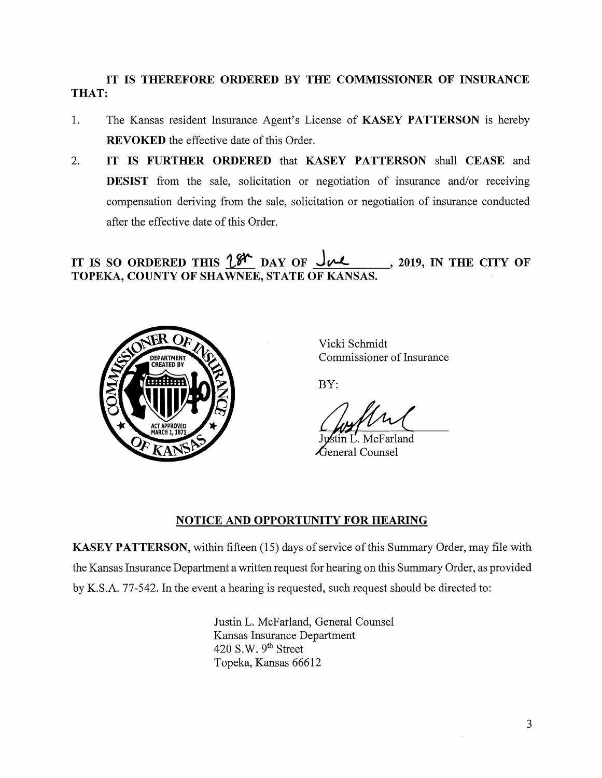# **IT IS THEREFORE ORDERED BY THE COMMISSIONER OF INSURANCE THAT:**

- 1. The Kansas resident Insurance Agent's License of **KASEY PATTERSON** is hereby **REVOKED** the effective date of this Order.
- 2. **IT IS FURTHER ORDERED** that **KASEY PATTERSON** shall **CEASE** and **DESIST** from the sale, solicitation or negotiation of insurance and/or receiving compensation deriving from the sale, solicitation or negotiation of insurance conducted after the effective date of this Order.

IT IS SO ORDERED THIS  $\mathcal{L}^{\mathcal{K}}$  DAY OF  $\mathcal{L}$ , 2019, IN THE CITY OF **TOPEKA, COUNTY OF SHAWNEE, STATE OF KANSAS.** 



Vicki Schmidt Commissioner of Insurance

BY:

in L. McFarland  $\Lambda$ eneral Counsel

## **NOTICE AND OPPORTUNITY FOR HEARING**

**KASEY PATTERSON,** within fifteen (15) days of service of this Summary Order, may file with the Kansas Insurance Department a written request for hearing on this Summary Order, as provided by K.S.A. 77-542. In the event a hearing is requested, such request should be directed to:

> Justin L. McFarland, General Counsel Kansas Insurance Department 420 S.W. 9<sup>th</sup> Street Topeka, Kansas 66612